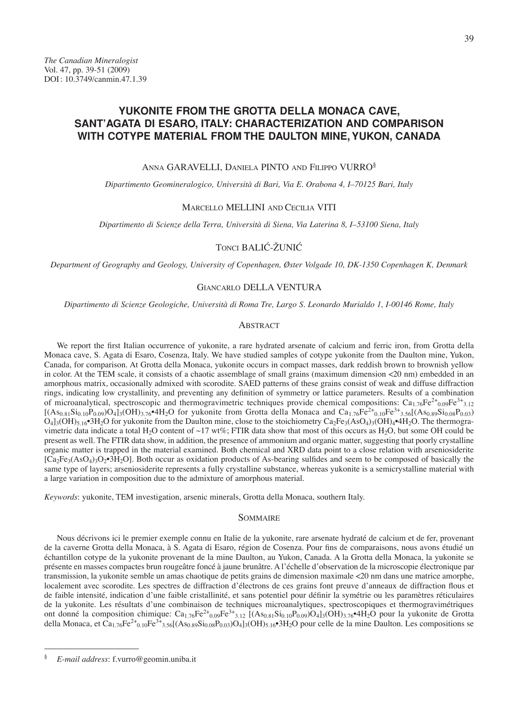# **YUKONITE FROM THE GROTTA DELLA MONACA CAVE, SANT'AGATA DI ESARO, ITALY: CHARACTERIZATION AND COMPARISON WITH COTYPE MATERIAL FROM THE DAULTON MINE, YUKON, CANADA**

#### Anna GARAVELLI, Daniela PINTO and Filippo VURRO§

*Dipartimento Geomineralogico, Università di Bari, Via E. Orabona 4, I–70125 Bari, Italy*

#### Marcello MELLINI and Cecilia VITI

*Dipartimento di Scienze della Terra, Università di Siena, Via Laterina 8, I–53100 Siena, Italy*

## Tonci BALIĆ-ŽUNIĆ

*Department of Geography and Geology, University of Copenhagen, Øster Volgade 10, DK-1350 Copenhagen K, Denmark*

## Giancarlo DELLA VENTURA

*Dipartimento di Scienze Geologiche, Università di Roma Tre, Largo S. Leonardo Murialdo 1, I-00146 Rome, Italy*

### **ABSTRACT**

We report the first Italian occurrence of yukonite, a rare hydrated arsenate of calcium and ferric iron, from Grotta della Monaca cave, S. Agata di Esaro, Cosenza, Italy. We have studied samples of cotype yukonite from the Daulton mine, Yukon, Canada, for comparison. At Grotta della Monaca, yukonite occurs in compact masses, dark reddish brown to brownish yellow in color. At the TEM scale, it consists of a chaotic assemblage of small grains (maximum dimension <20 nm) embedded in an amorphous matrix, occasionally admixed with scorodite. SAED patterns of these grains consist of weak and diffuse diffraction rings, indicating low crystallinity, and preventing any definition of symmetry or lattice parameters. Results of a combination of microanalytical, spectroscopic and thermogravimetric techniques provide chemical compositions:  $Ca_{1.76}Fe^{2+}_{0.09}Fe^{3+}_{3.12}$  $[(A_{80,81}Si_{0,10}P_{0,09})O_4]_3(OH)_{3.76}$ •4H<sub>2</sub>O for yukonite from Grotta della Monaca and Ca<sub>1.76</sub>Fe<sup>2+</sup><sub>0.10</sub>Fe<sup>3+</sup><sub>3.56</sub>[(As<sub>0.89</sub>Si<sub>0.08</sub>P<sub>0.03</sub>)  $\rm O_4$ ]<sub>3</sub>(OH)<sub>5.16</sub>•3H<sub>2</sub>O for yukonite from the Daulton mine, close to the stoichiometry Ca<sub>2</sub>Fe<sub>3</sub>(AsO<sub>4</sub>)<sub>3</sub>(OH)<sub>4</sub>•4H<sub>2</sub>O. The thermogravimetric data indicate a total H<sub>2</sub>O content of ~17 wt%; FTIR data show that most of this occurs as H<sub>2</sub>O, but some OH could be present as well. The FTIR data show, in addition, the presence of ammonium and organic matter, suggesting that poorly crystalline organic matter is trapped in the material examined. Both chemical and XRD data point to a close relation with arseniosiderite  $[C_4E_3(AsO_4)3O_2\cdot 3H_2O]$ . Both occur as oxidation products of As-bearing sulfides and seem to be composed of basically the same type of layers; arseniosiderite represents a fully crystalline substance, whereas yukonite is a semicrystalline material with a large variation in composition due to the admixture of amorphous material.

*Keywords*: yukonite, TEM investigation, arsenic minerals, Grotta della Monaca, southern Italy.

#### **SOMMAIRE**

Nous décrivons ici le premier exemple connu en Italie de la yukonite, rare arsenate hydraté de calcium et de fer, provenant de la caverne Grotta della Monaca, à S. Agata di Esaro, région de Cosenza. Pour fins de comparaisons, nous avons étudié un échantillon cotype de la yukonite provenant de la mine Daulton, au Yukon, Canada. A la Grotta della Monaca, la yukonite se présente en masses compactes brun rougeâtre foncé à jaune brunâtre. A l'échelle d'observation de la microscopie électronique par transmission, la yukonite semble un amas chaotique de petits grains de dimension maximale <20 nm dans une matrice amorphe, localement avec scorodite. Les spectres de diffraction d'électrons de ces grains font preuve d'anneaux de diffraction flous et de faible intensité, indication d'une faible cristallinité, et sans potentiel pour définir la symétrie ou les paramètres réticulaires de la yukonite. Les résultats d'une combinaison de techniques microanalytiques, spectroscopiques et thermogravimétriques ont donné la composition chimique:  $Ca_{1.76}Fe^{2+}_{0.09}Fe^{3+}_{3.12}$  [(As<sub>0.81</sub>Si<sub>0.10</sub>P<sub>0.09</sub>)O<sub>4</sub>]<sub>3</sub>(OH)<sub>3.76</sub>•4H<sub>2</sub>O pour la yukonite de Grotta della Monaca, et Ca<sub>1.76</sub>Fe<sup>2+</sup><sub>0.10</sub>Fe<sup>3+</sup><sub>3.56</sub>[(As<sub>0.89</sub>Si<sub>0.08</sub>P<sub>0.03</sub>)O<sub>4</sub>]<sub>3</sub>(OH)<sub>5.16</sub>•3H<sub>2</sub>O pour celle de la mine Daulton. Les compositions se

<sup>§</sup> *E-mail address*: f.vurro@geomin.uniba.it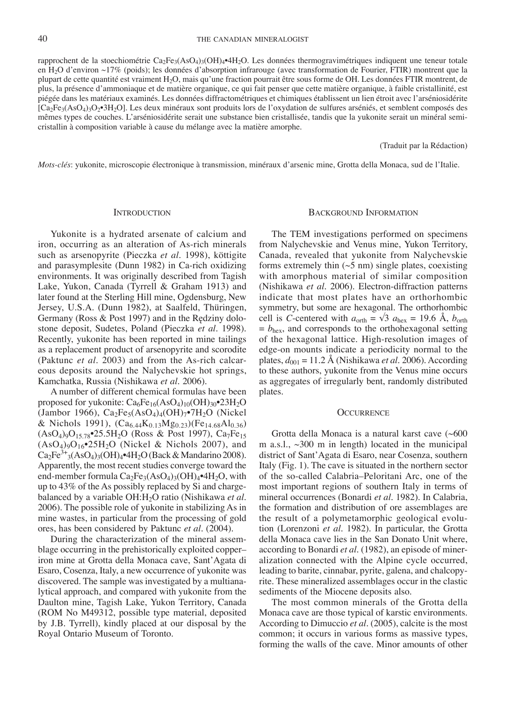rapprochent de la stoechiométrie  $Ca_2Fe_3(AsO_4)_3(OH)_4 \cdot 4H_2O$ . Les données thermogravimétriques indiquent une teneur totale en H2O d'environ ~17% (poids); les données d'absorption infrarouge (avec transformation de Fourier, FTIR) montrent que la plupart de cette quantité est vraiment H2O, mais qu'une fraction pourrait être sous forme de OH. Les données FTIR montrent, de plus, la présence d'ammoniaque et de matière organique, ce qui fait penser que cette matière organique, à faible cristallinité, est piégée dans les matériaux examinés. Les données diffractométriques et chimiques établissent un lien étroit avec l'arséniosidérite [Ca2Fe3(AsO4)3O2•3H2O]. Les deux minéraux sont produits lors de l'oxydation de sulfures arséniés, et semblent composés des mêmes types de couches. L'arséniosidérite serait une substance bien cristallisée, tandis que la yukonite serait un minéral semicristallin à composition variable à cause du mélange avec la matière amorphe.

(Traduit par la Rédaction)

*Mots-clés*: yukonite, microscopie électronique à transmission, minéraux d'arsenic mine, Grotta della Monaca, sud de l'Italie.

#### **INTRODUCTION**

Yukonite is a hydrated arsenate of calcium and iron, occurring as an alteration of As-rich minerals such as arsenopyrite (Pieczka *et al.* 1998), köttigite and parasymplesite (Dunn 1982) in Ca-rich oxidizing environments. It was originally described from Tagish Lake, Yukon, Canada (Tyrrell & Graham 1913) and later found at the Sterling Hill mine, Ogdensburg, New Jersey, U.S.A. (Dunn 1982), at Saalfeld, Thüringen, Germany (Ross & Post 1997) and in the Rędziny dolostone deposit, Sudetes, Poland (Pieczka *et al*. 1998). Recently, yukonite has been reported in mine tailings as a replacement product of arsenopyrite and scorodite (Paktunc *et al.* 2003) and from the As-rich calcareous deposits around the Nalychevskie hot springs, Kamchatka, Russia (Nishikawa *et al.* 2006).

A number of different chemical formulas have been proposed for yukonite:  $Ca_6Fe_{16}(AsO_4)_{10}(OH)_{30}$ <sup>o</sup> $23H_2O$ (Jambor 1966),  $Ca<sub>2</sub>Fe<sub>5</sub>(AsO<sub>4</sub>)<sub>4</sub>(OH)<sub>7</sub>•7H<sub>2</sub>O$  (Nickel & Nichols 1991),  $(Ca_{6.44}K_{0.13}Mg_{0.23})(Fe_{14.68}Al_{0.36})$  $(AsO<sub>4</sub>)<sub>9</sub>O<sub>15.78</sub>$ <sup>\*</sup>25.5H<sub>2</sub>O (Ross & Post 1997), Ca<sub>7</sub>Fe<sub>15</sub>  $(AsO<sub>4</sub>)<sub>9</sub>O<sub>16</sub>•25H<sub>2</sub>O$  (Nickel & Nichols 2007), and  $Ca_2Fe^{3+}{}_{3}(AsO_4){}_{3}(OH)_4$ •4H<sub>2</sub>O (Back & Mandarino 2008). Apparently, the most recent studies converge toward the end-member formula  $Ca<sub>2</sub>Fe<sub>3</sub>(AsO<sub>4</sub>)<sub>3</sub>(OH)<sub>4</sub>•4H<sub>2</sub>O$ , with up to 43% of the As possibly replaced by Si and chargebalanced by a variable OH:H2O ratio (Nishikawa *et al.* 2006). The possible role of yukonite in stabilizing As in mine wastes, in particular from the processing of gold ores, has been considered by Paktunc *et al.* (2004).

During the characterization of the mineral assemblage occurring in the prehistorically exploited copper– iron mine at Grotta della Monaca cave, Sant'Agata di Esaro, Cosenza, Italy, a new occurrence of yukonite was discovered. The sample was investigated by a multianalytical approach, and compared with yukonite from the Daulton mine, Tagish Lake, Yukon Territory, Canada (ROM No M49312, possible type material, deposited by J.B. Tyrrell), kindly placed at our disposal by the Royal Ontario Museum of Toronto.

#### Background Information

The TEM investigations performed on specimens from Nalychevskie and Venus mine, Yukon Territory, Canada, revealed that yukonite from Nalychevskie forms extremely thin  $(\sim 5 \text{ nm})$  single plates, coexisting with amorphous material of similar composition (Nishikawa *et al.* 2006). Electron-diffraction patterns indicate that most plates have an orthorhombic symmetry, but some are hexagonal. The orthorhombic cell is *C*-centered with  $a_{\text{orth}} = \sqrt{3} a_{\text{hex}} = 19.6 \text{ Å}, b_{\text{orth}}$  $= b<sub>hex</sub>$ , and corresponds to the orthohexagonal setting of the hexagonal lattice. High-resolution images of edge-on mounts indicate a periodicity normal to the plates,  $d_{001} = 11.2$  Å (Nishikawa *et al.* 2006). According to these authors, yukonite from the Venus mine occurs as aggregates of irregularly bent, randomly distributed plates.

#### **OCCURRENCE**

Grotta della Monaca is a natural karst cave (~600 m a.s.l.,  $\sim$ 300 m in length) located in the municipal district of Sant'Agata di Esaro, near Cosenza, southern Italy (Fig. 1). The cave is situated in the northern sector of the so-called Calabria–Peloritani Arc, one of the most important regions of southern Italy in terms of mineral occurrences (Bonardi *et al*. 1982). In Calabria, the formation and distribution of ore assemblages are the result of a polymetamorphic geological evolution (Lorenzoni *et al*. 1982). In particular, the Grotta della Monaca cave lies in the San Donato Unit where, according to Bonardi *et al*. (1982), an episode of mineralization connected with the Alpine cycle occurred, leading to barite, cinnabar, pyrite, galena, and chalcopyrite. These mineralized assemblages occur in the clastic sediments of the Miocene deposits also.

The most common minerals of the Grotta della Monaca cave are those typical of karstic environments. According to Dimuccio *et al.* (2005), calcite is the most common; it occurs in various forms as massive types, forming the walls of the cave. Minor amounts of other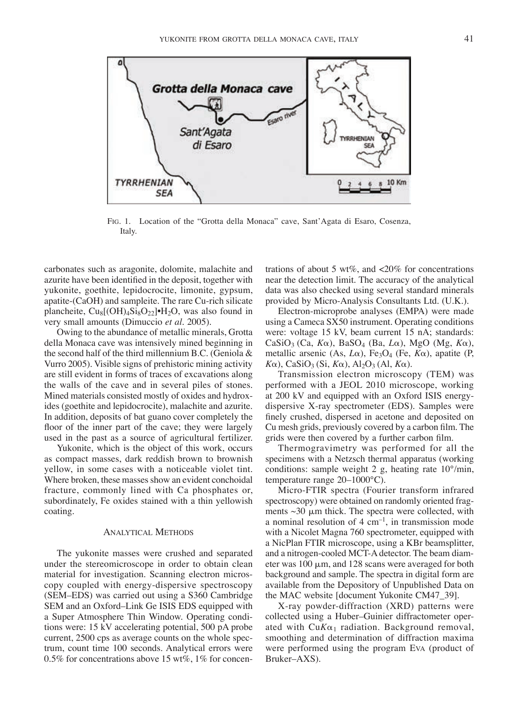

Fig. 1. Location of the "Grotta della Monaca" cave, Sant'Agata di Esaro, Cosenza, Italy.

carbonates such as aragonite, dolomite, malachite and azurite have been identified in the deposit, together with yukonite, goethite, lepidocrocite, limonite, gypsum, apatite-(CaOH) and sampleite. The rare Cu-rich silicate plancheite,  $Cu_8[(OH)_4Si_8O_{22}]·H_2O$ , was also found in very small amounts (Dimuccio *et al.* 2005).

Owing to the abundance of metallic minerals, Grotta della Monaca cave was intensively mined beginning in the second half of the third millennium B.C. (Geniola & Vurro 2005). Visible signs of prehistoric mining activity are still evident in forms of traces of excavations along the walls of the cave and in several piles of stones. Mined materials consisted mostly of oxides and hydroxides (goethite and lepidocrocite), malachite and azurite. In addition, deposits of bat guano cover completely the floor of the inner part of the cave; they were largely used in the past as a source of agricultural fertilizer.

Yukonite, which is the object of this work, occurs as compact masses, dark reddish brown to brownish yellow, in some cases with a noticeable violet tint. Where broken, these masses show an evident conchoidal fracture, commonly lined with Ca phosphates or, subordinately, Fe oxides stained with a thin yellowish coating.

#### Analytical Methods

The yukonite masses were crushed and separated under the stereomicroscope in order to obtain clean material for investigation. Scanning electron microscopy coupled with energy-dispersive spectroscopy (SEM–EDS) was carried out using a S360 Cambridge SEM and an Oxford–Link Ge ISIS EDS equipped with a Super Atmosphere Thin Window. Operating conditions were: 15 kV accelerating potential, 500 pA probe current, 2500 cps as average counts on the whole spectrum, count time 100 seconds. Analytical errors were 0.5% for concentrations above 15 wt%, 1% for concen-

trations of about 5 wt%, and  $<20\%$  for concentrations near the detection limit. The accuracy of the analytical data was also checked using several standard minerals provided by Micro-Analysis Consultants Ltd. (U.K.).

Electron-microprobe analyses (EMPA) were made using a Cameca SX50 instrument. Operating conditions were: voltage 15 kV, beam current 15 nA; standards: CaSiO3 (Ca, *K*a), BaSO4 (Ba, *L*a), MgO (Mg, *K*a), metallic arsenic (As,  $L\alpha$ ), Fe<sub>3</sub>O<sub>4</sub> (Fe,  $K\alpha$ ), apatite (P,  $K\alpha$ ), CaSiO<sub>3</sub> (Si,  $K\alpha$ ), Al<sub>2</sub>O<sub>3</sub> (Al,  $K\alpha$ ).

Transmission electron microscopy (TEM) was performed with a JEOL 2010 microscope, working at 200 kV and equipped with an Oxford ISIS energydispersive X-ray spectrometer (EDS). Samples were finely crushed, dispersed in acetone and deposited on Cu mesh grids, previously covered by a carbon film. The grids were then covered by a further carbon film.

Thermogravimetry was performed for all the specimens with a Netzsch thermal apparatus (working conditions: sample weight 2 g, heating rate 10°/min, temperature range 20–1000°C).

Micro-FTIR spectra (Fourier transform infrared spectroscopy) were obtained on randomly oriented fragments  $\sim$ 30  $\mu$ m thick. The spectra were collected, with a nominal resolution of  $4 \text{ cm}^{-1}$ , in transmission mode with a Nicolet Magna 760 spectrometer, equipped with a NicPlan FTIR microscope, using a KBr beamsplitter, and a nitrogen-cooled MCT-A detector. The beam diameter was  $100 \mu m$ , and  $128$  scans were averaged for both background and sample. The spectra in digital form are available from the Depository of Unpublished Data on the MAC website [document Yukonite CM47\_39].

X-ray powder-diffraction (XRD) patterns were collected using a Huber–Guinier diffractometer operated with  $CuK\alpha_1$  radiation. Background removal, smoothing and determination of diffraction maxima were performed using the program Eva (product of Bruker–AXS).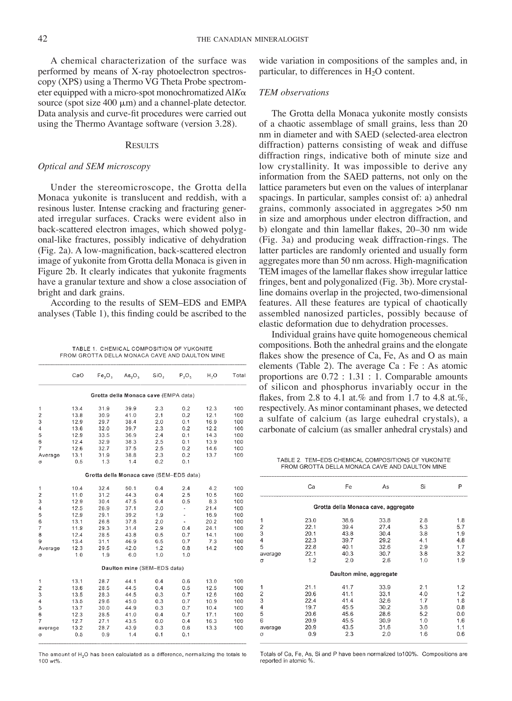A chemical characterization of the surface was performed by means of X-ray photoelectron spectroscopy (XPS) using a Thermo VG Theta Probe spectrometer equipped with a micro-spot monochromatized Al*K*a source (spot size  $400 \mu m$ ) and a channel-plate detector. Data analysis and curve-fit procedures were carried out using the Thermo Avantage software (version 3.28).

#### **RESULTS**

## *Optical and SEM microscopy*

Under the stereomicroscope, the Grotta della Monaca yukonite is translucent and reddish, with a resinous luster. Intense cracking and fracturing generated irregular surfaces. Cracks were evident also in back-scattered electron images, which showed polygonal-like fractures, possibly indicative of dehydration (Fig. 2a). A low-magnification, back-scattered electron image of yukonite from Grotta della Monaca is given in Figure 2b. It clearly indicates that yukonite fragments have a granular texture and show a close association of bright and dark grains.

According to the results of SEM–EDS and EMPA analyses (Table 1), this finding could be ascribed to the

TABLE 1. CHEMICAL COMPOSITION OF YUKONITE FROM GROTTA DELLA MONACA CAVE AND DAULTON MINE

| Grotta della Monaca cave (EMPA data)                                  |     |
|-----------------------------------------------------------------------|-----|
| 13.4<br>31.9<br>39.9<br>2.3<br>0.2<br>12.3<br>1                       | 100 |
| 2<br>13.8<br>2.1<br>12.1<br>30.9<br>41.0<br>0.2                       | 100 |
| 3<br>29.7<br>16.9<br>12.9<br>38.4<br>2.0<br>0.1                       | 100 |
| $\overline{\mathbf{4}}$<br>32.0<br>2.3<br>12.2<br>13.6<br>39.7<br>0.2 | 100 |
| 5<br>33.5<br>12.9<br>36.9<br>2.4<br>0.1<br>14.3                       | 100 |
| 6<br>12.4<br>32.9<br>38.3<br>2.5<br>0.1<br>13.9                       | 100 |
| 7<br>12.6<br>32.7<br>37.5<br>2.5<br>0.2<br>14.6                       | 100 |
| 13.1<br>31.9<br>38.8<br>2.3<br>0.2<br>13.7<br>Average                 | 100 |
| 0.5<br>1.3<br>1.4<br>0.2<br>0.1<br>σ                                  |     |
| Grotta della Monaca cave (SEM-EDS data)                               |     |
| 10.4<br>32.4<br>50.1<br>0.4<br>2.4<br>4.2<br>1                        | 100 |
| $\overline{\mathbf{c}}$<br>0.4<br>11.0<br>31.2<br>44.3<br>2.5<br>10.5 | 100 |
| 3<br>0.5<br>12.9<br>30.4<br>47.5<br>0.4<br>8.3                        | 100 |
| $\overline{4}$<br>12.5<br>26.9<br>2.0<br>21.4<br>37.1<br>÷            | 100 |
| 5<br>12.9<br>29.1<br>39.2<br>1.9<br>16.9<br>ä,                        | 100 |
| 6<br>13.1<br>26.8<br>37.8<br>2.0<br>20.2<br>ú.                        | 100 |
| $\overline{7}$<br>11.9<br>29.3<br>31.4<br>2.9<br>0.4<br>24.1          | 100 |
| 8<br>14.1<br>12.4<br>28.5<br>43.8<br>0.5<br>0.7                       | 100 |
| 13.4<br>0.5<br>0.7<br>7.3<br>9<br>31.1<br>46.9                        | 100 |
| 12.3<br>29.5<br>42.0<br>1.2<br>0.8<br>14.2<br>Average                 | 100 |
| 1.0<br>1.9<br>6.0<br>1.0<br>1.0<br>σ                                  |     |
| Daulton mine (SEM-EDS data)                                           |     |
| 13.1<br>28.7<br>0.4<br>13.0<br>1<br>44.1<br>0.6                       | 100 |
| $\overline{c}$<br>13.6<br>44.5<br>28.5<br>0.4<br>0.5<br>12.5          | 100 |
| 3<br>13.5<br>28.3<br>44.5<br>0.3<br>0.7<br>12.6                       | 100 |
| 4<br>13.5<br>29.6<br>45.0<br>0.3<br>0.7<br>10.9                       | 100 |
| 5<br>13.7<br>30.0<br>0.3<br>0.7<br>44.9<br>10.4                       | 100 |
| 6<br>0.7<br>12.3<br>28.5<br>41.0<br>0.4<br>17.1                       | 100 |
| $\overline{7}$<br>12.7<br>0.0<br>27.1<br>43.5<br>0.4<br>16.3          | 100 |
| 13.2<br>28.7<br>43.9<br>0.3<br>13.3<br>0.6<br>average                 | 100 |
| 1.4<br>0.5<br>0.9<br>0.1<br>0.1<br>σ                                  |     |

The amount of H.O has been calculated as a difference, normalizing the totals to 100 wt%

wide variation in compositions of the samples and, in particular, to differences in  $H_2O$  content.

### *TEM observations*

The Grotta della Monaca yukonite mostly consists of a chaotic assemblage of small grains, less than 20 nm in diameter and with SAED (selected-area electron diffraction) patterns consisting of weak and diffuse diffraction rings, indicative both of minute size and low crystallinity. It was impossible to derive any information from the SAED patterns, not only on the lattice parameters but even on the values of interplanar spacings. In particular, samples consist of: a) anhedral grains, commonly associated in aggregates >50 nm in size and amorphous under electron diffraction, and b) elongate and thin lamellar flakes, 20–30 nm wide (Fig. 3a) and producing weak diffraction-rings. The latter particles are randomly oriented and usually form aggregates more than 50 nm across. High-magnification TEM images of the lamellar flakes show irregular lattice fringes, bent and polygonalized (Fig. 3b). More crystalline domains overlap in the projected, two-dimensional features. All these features are typical of chaotically assembled nanosized particles, possibly because of elastic deformation due to dehydration processes.

Individual grains have quite homogeneous chemical compositions. Both the anhedral grains and the elongate flakes show the presence of Ca, Fe, As and O as main elements (Table 2). The average Ca : Fe : As atomic proportions are 0.72 : 1.31 : 1. Comparable amounts of silicon and phosphorus invariably occur in the flakes, from 2.8 to 4.1 at.% and from 1.7 to 4.8 at.%, respectively. As minor contaminant phases, we detected a sulfate of calcium (as large euhedral crystals), a carbonate of calcium (as smaller anhedral crystals) and

TABLE 2. TEM-EDS CHEMICAL COMPOSITIONS OF YUKONITE FROM GROTTA DELLA MONACA CAVE AND DAULTON MINE

|                                              | Ca                                                          | Fe                                                          | As                                                          | Si                                                   | P                                                    |
|----------------------------------------------|-------------------------------------------------------------|-------------------------------------------------------------|-------------------------------------------------------------|------------------------------------------------------|------------------------------------------------------|
|                                              |                                                             |                                                             | Grotta della Monaca cave, aggregate                         |                                                      |                                                      |
| 1<br>2<br>3<br>4<br>5<br>average<br>$\sigma$ | 23.0<br>22.1<br>20.1<br>22.3<br>22.8<br>22.1<br>1.2         | 38.6<br>39.4<br>43.8<br>39.7<br>40.1<br>40.3<br>2.0         | 33.8<br>27.4<br>30.4<br>29.2<br>32.6<br>30.7<br>2.6         | 2.8<br>5.3<br>3.8<br>4.1<br>2.9<br>3.8<br>1.0        | 1.8<br>5.7<br>1.9<br>4.8<br>1.7<br>3.2<br>1.9        |
|                                              |                                                             | Daulton mine, aggregate                                     |                                                             |                                                      |                                                      |
| 1<br>2<br>3<br>4<br>5<br>6<br>average<br>σ   | 21.1<br>20.6<br>22.4<br>19.7<br>20.6<br>20.9<br>20.9<br>0,9 | 41.7<br>41.1<br>41.4<br>45.5<br>45.6<br>45.5<br>43.5<br>2.3 | 33.9<br>33.1<br>32.6<br>30.2<br>28.6<br>30.9<br>31.6<br>2.0 | 2.1<br>4.0<br>1.7<br>3.8<br>5.2<br>1.0<br>3.0<br>1.6 | 1.2<br>1.2<br>1.8<br>0.8<br>0.0<br>1.6<br>1.1<br>0.6 |

Totals of Ca, Fe, As, Si and P have been normalized to100%. Compositions are reported in atomic %.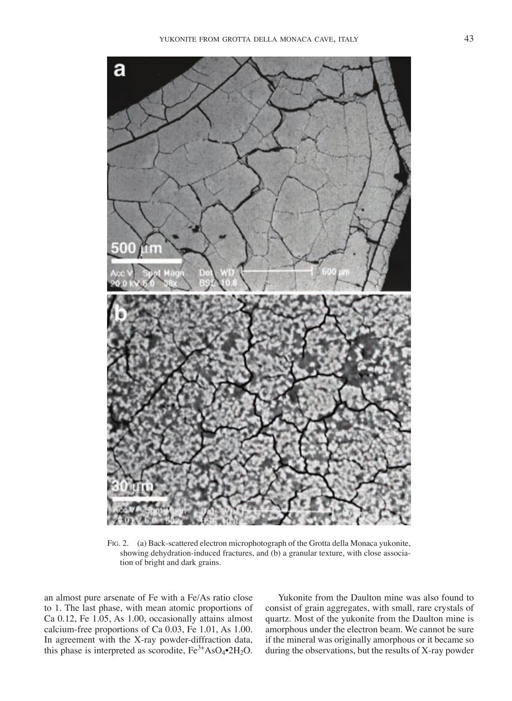

Fig. 2. (a) Back-scattered electron microphotograph of the Grotta della Monaca yukonite, showing dehydration-induced fractures, and (b) a granular texture, with close association of bright and dark grains.

an almost pure arsenate of Fe with a Fe/As ratio close to 1. The last phase, with mean atomic proportions of Ca 0.12, Fe 1.05, As 1.00, occasionally attains almost calcium-free proportions of Ca 0.03, Fe 1.01, As 1.00. In agreement with the X-ray powder-diffraction data, this phase is interpreted as scorodite,  $Fe^{3+}AsO_4^{\bullet}2H_2O$ .

Yukonite from the Daulton mine was also found to consist of grain aggregates, with small, rare crystals of quartz. Most of the yukonite from the Daulton mine is amorphous under the electron beam. We cannot be sure if the mineral was originally amorphous or it became so during the observations, but the results of X-ray powder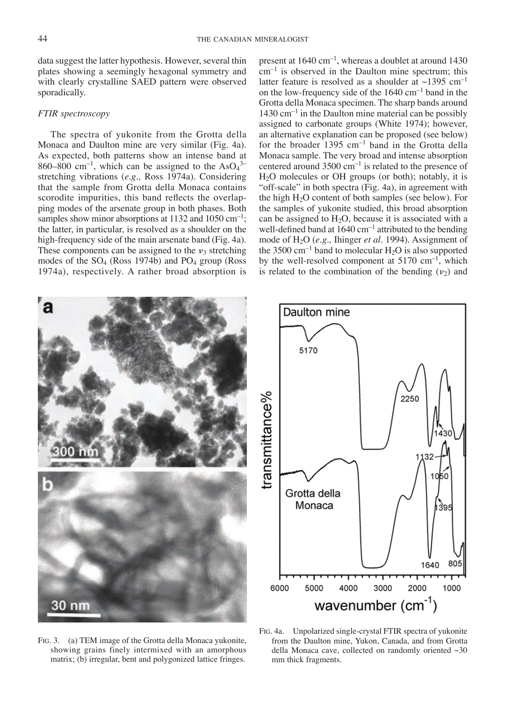data suggest the latter hypothesis. However, several thin plates showing a seemingly hexagonal symmetry and with clearly crystalline SAED pattern were observed sporadically.

#### *FTIR spectroscopy*

The spectra of yukonite from the Grotta della Monaca and Daulton mine are very similar (Fig. 4a). As expected, both patterns show an intense band at  $860-800$  cm<sup>-1</sup>, which can be assigned to the AsO<sub>4</sub><sup>3-</sup> stretching vibrations (*e.g.,* Ross 1974a). Considering that the sample from Grotta della Monaca contains scorodite impurities, this band reflects the overlapping modes of the arsenate group in both phases. Both samples show minor absorptions at  $1132$  and  $1050 \text{ cm}^{-1}$ ; the latter, in particular, is resolved as a shoulder on the high-frequency side of the main arsenate band (Fig. 4a). These components can be assigned to the  $v_3$  stretching modes of the SO4 (Ross 1974b) and PO4 group (Ross 1974a), respectively. A rather broad absorption is present at  $1640 \text{ cm}^{-1}$ , whereas a doublet at around  $1430$  $\text{cm}^{-1}$  is observed in the Daulton mine spectrum; this latter feature is resolved as a shoulder at  $\sim$ 1395 cm<sup>-1</sup> on the low-frequency side of the  $1640 \text{ cm}^{-1}$  band in the Grotta della Monaca specimen. The sharp bands around  $1430 \text{ cm}^{-1}$  in the Daulton mine material can be possibly assigned to carbonate groups (White 1974); however, an alternative explanation can be proposed (see below) for the broader  $1395 \text{ cm}^{-1}$  band in the Grotta della Monaca sample. The very broad and intense absorption centered around  $3500 \text{ cm}^{-1}$  is related to the presence of H2O molecules or OH groups (or both); notably, it is "off-scale" in both spectra (Fig. 4a), in agreement with the high H2O content of both samples (see below). For the samples of yukonite studied, this broad absorption can be assigned to  $H<sub>2</sub>O$ , because it is associated with a well-defined band at  $1640 \text{ cm}^{-1}$  attributed to the bending mode of H2O (*e.g.,* Ihinger *et al.* 1994). Assignment of the 3500 cm<sup>-1</sup> band to molecular  $H_2O$  is also supported by the well-resolved component at  $5170 \text{ cm}^{-1}$ , which is related to the combination of the bending  $(v_2)$  and

Daulton mine



5170 transmittance% 2250 Grotta della Monaca  $395$ 805 1640 4000 3000 6000 5000 2000 1000 wavenumber  $(cm<sup>-1</sup>)$ 

Fig. 3. (a) TEM image of the Grotta della Monaca yukonite, showing grains finely intermixed with an amorphous matrix; (b) irregular, bent and polygonized lattice fringes.

Fig. 4a. Unpolarized single-crystal FTIR spectra of yukonite from the Daulton mine, Yukon, Canada, and from Grotta della Monaca cave, collected on randomly oriented ~30 mm thick fragments.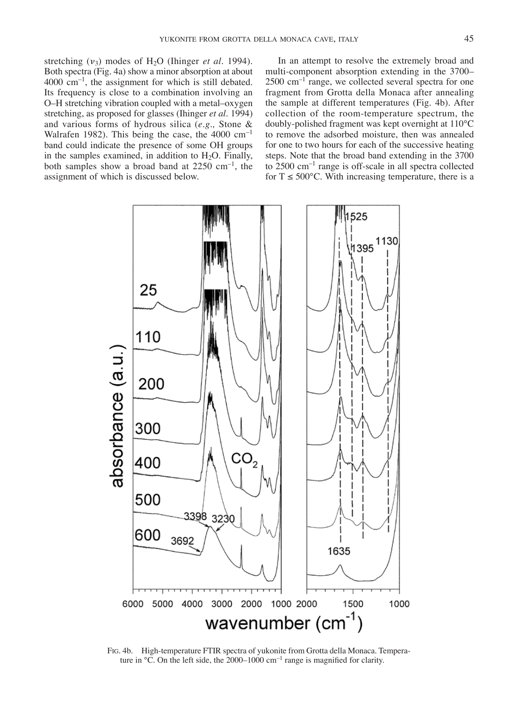stretching  $(v_3)$  modes of  $H_2O$  (Ihinger *et al.* 1994). Both spectra (Fig. 4a) show a minor absorption at about  $4000 \text{ cm}^{-1}$ , the assignment for which is still debated. Its frequency is close to a combination involving an O–H stretching vibration coupled with a metal–oxygen stretching, as proposed for glasses (Ihinger *et al.* 1994) and various forms of hydrous silica (*e.g.,* Stone & Walrafen 1982). This being the case, the  $4000 \text{ cm}^{-1}$ band could indicate the presence of some OH groups in the samples examined, in addition to  $H_2O$ . Finally, both samples show a broad band at  $2250 \text{ cm}^{-1}$ , the assignment of which is discussed below.

In an attempt to resolve the extremely broad and multi-component absorption extending in the 3700–  $2500 \text{ cm}^{-1}$  range, we collected several spectra for one fragment from Grotta della Monaca after annealing the sample at different temperatures (Fig. 4b). After collection of the room-temperature spectrum, the doubly-polished fragment was kept overnight at 110°C to remove the adsorbed moisture, then was annealed for one to two hours for each of the successive heating steps. Note that the broad band extending in the 3700 to 2500 cm–1 range is off-scale in all spectra collected for  $T \le 500^{\circ}$ C. With increasing temperature, there is a



Fig. 4b. High-temperature FTIR spectra of yukonite from Grotta della Monaca. Temperature in °C. On the left side, the 2000–1000 cm<sup>-1</sup> range is magnified for clarity.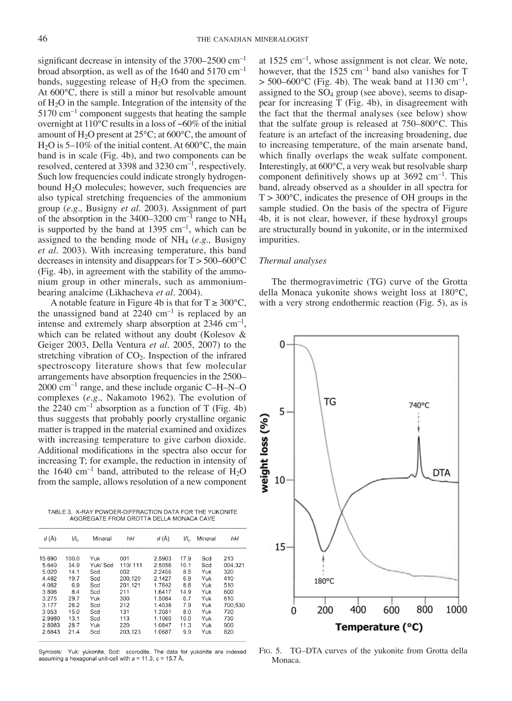significant decrease in intensity of the  $3700-2500$  cm<sup>-1</sup> broad absorption, as well as of the  $1640$  and  $5170$  cm<sup>-1</sup> bands, suggesting release of  $H_2O$  from the specimen. At 600°C, there is still a minor but resolvable amount of H2O in the sample. Integration of the intensity of the  $5170 \text{ cm}^{-1}$  component suggests that heating the sample overnight at  $110^{\circ}$ C results in a loss of ~60% of the initial amount of  $H_2O$  present at  $25^{\circ}C$ ; at  $600^{\circ}C$ , the amount of  $H<sub>2</sub>O$  is 5–10% of the initial content. At 600°C, the main band is in scale (Fig. 4b), and two components can be resolved, centered at 3398 and 3230  $cm^{-1}$ , respectively. Such low frequencies could indicate strongly hydrogenbound H<sub>2</sub>O molecules; however, such frequencies are also typical stretching frequencies of the ammonium group (*e.g.,* Busigny *et al.* 2003). Assignment of part of the absorption in the 3400–3200 cm<sup>-1</sup> range to  $NH_4$ is supported by the band at  $1395 \text{ cm}^{-1}$ , which can be assigned to the bending mode of  $NH<sub>4</sub>$  (*e.g.*, Busigny *et al.* 2003). With increasing temperature, this band decreases in intensity and disappears for  $T > 500-600^{\circ}C$ (Fig. 4b), in agreement with the stability of the ammonium group in other minerals, such as ammoniumbearing analcime (Likhacheva *et al*. 2004).

A notable feature in Figure 4b is that for  $T \geq 300^{\circ}C$ , the unassigned band at  $2240 \text{ cm}^{-1}$  is replaced by an intense and extremely sharp absorption at  $2346 \text{ cm}^{-1}$ , which can be related without any doubt (Kolesov & Geiger 2003, Della Ventura *et al.* 2005, 2007) to the stretching vibration of CO2. Inspection of the infrared spectroscopy literature shows that few molecular arrangements have absorption frequencies in the 2500–  $2000 \text{ cm}^{-1}$  range, and these include organic C–H–N–O complexes (*e.g.,* Nakamoto 1962). The evolution of the 2240 cm<sup>-1</sup> absorption as a function of T (Fig. 4b) thus suggests that probably poorly crystalline organic matter is trapped in the material examined and oxidizes with increasing temperature to give carbon dioxide. Additional modifications in the spectra also occur for increasing T; for example, the reduction in intensity of the 1640 cm<sup>-1</sup> band, attributed to the release of  $H_2O$ from the sample, allows resolution of a new component

TABLE 3. X-RAY POWDER-DIFFRACTION DATA FOR THE YUKONITE AGGREGATE FROM GROTTA DELLA MONACA CAVE

| d(A)   | $H_{\alpha}$ | Mineral  | hkl     | d (Å)  | $H_a$ | Mineral | hkl     |
|--------|--------------|----------|---------|--------|-------|---------|---------|
| 15.690 | 100.0        | Yuk      | 001     | 2.5903 | 17.9  | Scd     | 213     |
| 5.640  | 34.9         | Yuk/ Scd | 110/111 | 2.5056 | 10.1  | Scd     | 004.321 |
| 5.020  | 14.1         | Scd      | 002     | 2.2456 | 8.5   | Yuk     | 320     |
| 4.482  | 19.7         | Scd      | 200.120 | 2.1427 | 6.9   | Yuk     | 410     |
| 4.082  | 6.9          | Scd      | 201.121 | 1.7642 | 8.6   | Yuk     | 510     |
| 3.806  | 8.4          | Scd      | 211     | 1.6417 | 14.9  | Yuk     | 600     |
| 3.275  | 29.7         | Yuk      | 300     | 1.5084 | 6.7   | Yuk     | 610     |
| 3.177  | 26.2         | Scd      | 212     | 1.4038 | 7.9   | Yuk     | 700.530 |
| 3.053  | 15.0         | Scd      | 131     | 1.2081 | 8.0   | Yuk     | 720     |
| 2.9980 | 13.1         | Scd      | 113     | 1.1060 | 10.0  | Yuk     | 730     |
| 2.8083 | 28.7         | Yuk      | 220     | 1.0847 | 11.3  | Yuk     | 900     |
| 2.6843 | 21.4         | Scd      | 203.123 | 1.0687 | 9.9   | Yuk     | 820     |
|        |              |          |         |        |       |         |         |

Symbols: Yuk: yukonite, Scd: scorodite. The data for yukonite are indexed assuming a hexagonal unit-cell with  $a = 11.3$ ,  $c = 15.7$  Å.

at  $1525 \text{ cm}^{-1}$ , whose assignment is not clear. We note, however, that the 1525  $cm^{-1}$  band also vanishes for T  $> 500-600$ °C (Fig. 4b). The weak band at 1130 cm<sup>-1</sup>, assigned to the  $SO_4$  group (see above), seems to disappear for increasing T (Fig. 4b), in disagreement with the fact that the thermal analyses (see below) show that the sulfate group is released at 750–800°C. This feature is an artefact of the increasing broadening, due to increasing temperature, of the main arsenate band, which finally overlaps the weak sulfate component. Interestingly, at 600°C, a very weak but resolvable sharp component definitively shows up at  $3692 \text{ cm}^{-1}$ . This band, already observed as a shoulder in all spectra for  $T > 300^{\circ}$ C, indicates the presence of OH groups in the sample studied. On the basis of the spectra of Figure 4b, it is not clear, however, if these hydroxyl groups are structurally bound in yukonite, or in the intermixed impurities.

#### *Thermal analyses*

The thermogravimetric (TG) curve of the Grotta della Monaca yukonite shows weight loss at 180°C, with a very strong endothermic reaction (Fig. 5), as is



Fig. 5. TG–DTA curves of the yukonite from Grotta della Monaca.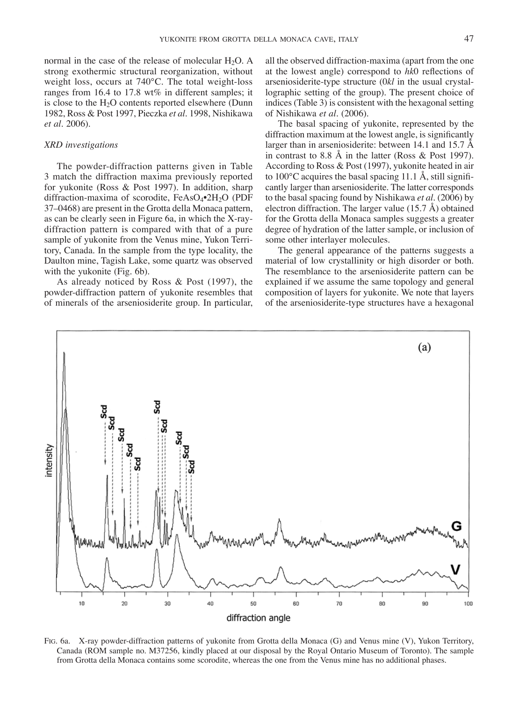normal in the case of the release of molecular  $H_2O$ . A strong exothermic structural reorganization, without weight loss, occurs at 740°C. The total weight-loss ranges from 16.4 to 17.8 wt% in different samples; it is close to the  $H<sub>2</sub>O$  contents reported elsewhere (Dunn 1982, Ross & Post 1997, Pieczka *et al*. 1998, Nishikawa *et al*. 2006).

#### *XRD investigations*

The powder-diffraction patterns given in Table 3 match the diffraction maxima previously reported for yukonite (Ross & Post 1997). In addition, sharp diffraction-maxima of scorodite, FeAsO<sub>4</sub>•2H<sub>2</sub>O (PDF 37–0468) are present in the Grotta della Monaca pattern, as can be clearly seen in Figure 6a, in which the X-raydiffraction pattern is compared with that of a pure sample of yukonite from the Venus mine, Yukon Territory, Canada. In the sample from the type locality, the Daulton mine, Tagish Lake, some quartz was observed with the yukonite (Fig. 6b).

As already noticed by Ross & Post (1997), the powder-diffraction pattern of yukonite resembles that of minerals of the arseniosiderite group. In particular, all the observed diffraction-maxima (apart from the one at the lowest angle) correspond to *hk*0 reflections of arseniosiderite-type structure (0*kl* in the usual crystallographic setting of the group). The present choice of indices (Table 3) is consistent with the hexagonal setting of Nishikawa *et al.* (2006).

The basal spacing of yukonite, represented by the diffraction maximum at the lowest angle, is significantly larger than in arseniosiderite: between 14.1 and 15.7 Å in contrast to 8.8 Å in the latter (Ross & Post 1997). According to Ross & Post (1997), yukonite heated in air to 100°C acquires the basal spacing 11.1 Å, still significantly larger than arseniosiderite. The latter corresponds to the basal spacing found by Nishikawa *et al.* (2006) by electron diffraction. The larger value (15.7 Å) obtained for the Grotta della Monaca samples suggests a greater degree of hydration of the latter sample, or inclusion of some other interlayer molecules.

The general appearance of the patterns suggests a material of low crystallinity or high disorder or both. The resemblance to the arseniosiderite pattern can be explained if we assume the same topology and general composition of layers for yukonite. We note that layers of the arseniosiderite-type structures have a hexagonal



Fig. 6a. X-ray powder-diffraction patterns of yukonite from Grotta della Monaca (G) and Venus mine (V), Yukon Territory, Canada (ROM sample no. M37256, kindly placed at our disposal by the Royal Ontario Museum of Toronto). The sample from Grotta della Monaca contains some scorodite, whereas the one from the Venus mine has no additional phases.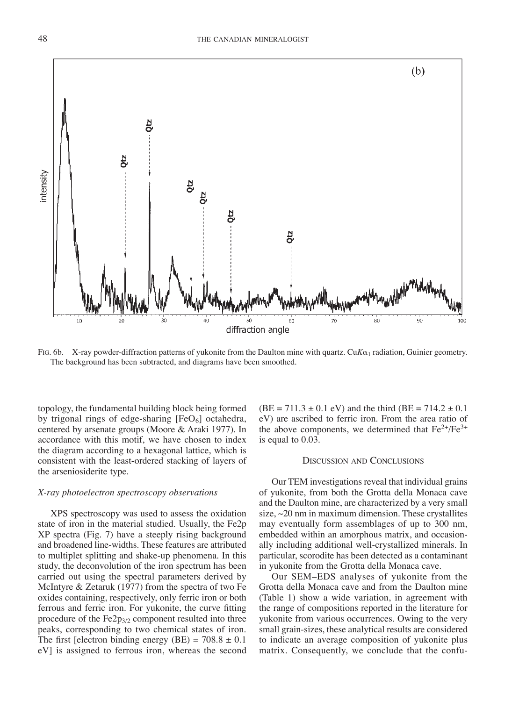

FIG. 6b. X-ray powder-diffraction patterns of yukonite from the Daulton mine with quartz. Cu $K\alpha_1$  radiation, Guinier geometry. The background has been subtracted, and diagrams have been smoothed.

topology, the fundamental building block being formed by trigonal rings of edge-sharing  $[FeO<sub>6</sub>]$  octahedra, centered by arsenate groups (Moore & Araki 1977). In accordance with this motif, we have chosen to index the diagram according to a hexagonal lattice, which is consistent with the least-ordered stacking of layers of the arseniosiderite type.

#### *X-ray photoelectron spectroscopy observations*

XPS spectroscopy was used to assess the oxidation state of iron in the material studied. Usually, the Fe2p XP spectra (Fig. 7) have a steeply rising background and broadened line-widths. These features are attributed to multiplet splitting and shake-up phenomena. In this study, the deconvolution of the iron spectrum has been carried out using the spectral parameters derived by McIntyre & Zetaruk (1977) from the spectra of two Fe oxides containing, respectively, only ferric iron or both ferrous and ferric iron. For yukonite, the curve fitting procedure of the  $Fe2p_{3/2}$  component resulted into three peaks, corresponding to two chemical states of iron. The first [electron binding energy (BE) =  $708.8 \pm 0.1$ eV] is assigned to ferrous iron, whereas the second  $(BE = 711.3 \pm 0.1 \text{ eV})$  and the third  $(BE = 714.2 \pm 0.1 \text{ eV})$ eV) are ascribed to ferric iron. From the area ratio of the above components, we determined that  $Fe^{2+}/Fe^{3+}$ is equal to 0.03.

#### Discussion and Conclusions

Our TEM investigations reveal that individual grains of yukonite, from both the Grotta della Monaca cave and the Daulton mine, are characterized by a very small size,  $\sim$ 20 nm in maximum dimension. These crystallites may eventually form assemblages of up to 300 nm, embedded within an amorphous matrix, and occasionally including additional well-crystallized minerals. In particular, scorodite has been detected as a contaminant in yukonite from the Grotta della Monaca cave.

Our SEM–EDS analyses of yukonite from the Grotta della Monaca cave and from the Daulton mine (Table 1) show a wide variation, in agreement with the range of compositions reported in the literature for yukonite from various occurrences. Owing to the very small grain-sizes, these analytical results are considered to indicate an average composition of yukonite plus matrix. Consequently, we conclude that the confu-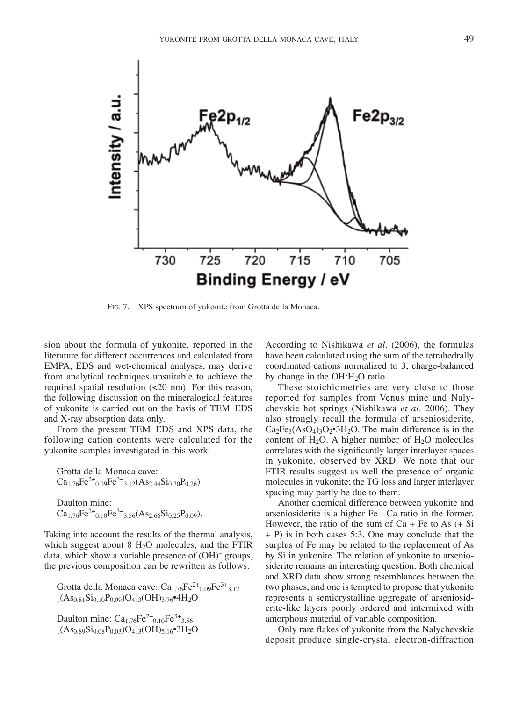

Fig. 7. XPS spectrum of yukonite from Grotta della Monaca.

sion about the formula of yukonite, reported in the literature for different occurrences and calculated from EMPA, EDS and wet-chemical analyses, may derive from analytical techniques unsuitable to achieve the required spatial resolution (<20 nm). For this reason, the following discussion on the mineralogical features of yukonite is carried out on the basis of TEM–EDS and X-ray absorption data only.

From the present TEM–EDS and XPS data, the following cation contents were calculated for the yukonite samples investigated in this work:

Grotta della Monaca cave:  $Ca_{1.76}Fe^{2+}_{0.09}Fe^{3+}_{3.12}(As_{2.44}Si_{0.30}P_{0.26})$ Daulton mine:  $Ca_{1.76}Fe^{2+}_{0.10}Fe^{3+}_{3.56}(As_{2.66}Si_{0.25}P_{0.09}).$ 

Taking into account the results of the thermal analysis, which suggest about  $8 \text{ H}_2\text{O}$  molecules, and the FTIR

data, which show a variable presence of (OH)– groups, the previous composition can be rewritten as follows:

Grotta della Monaca cave:  $Ca<sub>1.76</sub>Fe<sup>2+</sup><sub>0.09</sub>Fe<sup>3+</sup><sub>3.12</sub>$  $[(As<sub>0.81</sub>Si<sub>0.10</sub>P<sub>0.09</sub>)O<sub>4</sub>]<sub>3</sub>(OH)<sub>3.76</sub>•4H<sub>2</sub>O$ 

Daulton mine:  $Ca_{1.76}Fe^{2+}_{0.10}Fe^{3+}_{3.56}$  $[(As<sub>0.89</sub>Si<sub>0.08</sub>P<sub>0.03</sub>)O<sub>4</sub>]<sub>3</sub>(OH)<sub>5.16</sub>•<sup>3</sup>H<sub>2</sub>O$ 

According to Nishikawa *et al.* (2006), the formulas have been calculated using the sum of the tetrahedrally coordinated cations normalized to 3, charge-balanced by change in the OH:H2O ratio.

These stoichiometries are very close to those reported for samples from Venus mine and Nalychevskie hot springs (Nishikawa *et al.* 2006). They also strongly recall the formula of arseniosiderite,  $Ca<sub>2</sub>Fe<sub>3</sub>(AsO<sub>4</sub>)<sub>3</sub>O<sub>2</sub>•<sub>3</sub>H<sub>2</sub>O$ . The main difference is in the content of  $H_2O$ . A higher number of  $H_2O$  molecules correlates with the significantly larger interlayer spaces in yukonite, observed by XRD. We note that our FTIR results suggest as well the presence of organic molecules in yukonite; the TG loss and larger interlayer spacing may partly be due to them.

Another chemical difference between yukonite and arseniosiderite is a higher Fe : Ca ratio in the former. However, the ratio of the sum of  $Ca + Fe$  to As  $(+ Si)$ + P) is in both cases 5:3. One may conclude that the surplus of Fe may be related to the replacement of As by Si in yukonite. The relation of yukonite to arseniosiderite remains an interesting question. Both chemical and XRD data show strong resemblances between the two phases, and one is tempted to propose that yukonite represents a semicrystalline aggregate of arseniosiderite-like layers poorly ordered and intermixed with amorphous material of variable composition.

Only rare flakes of yukonite from the Nalychevskie deposit produce single-crystal electron-diffraction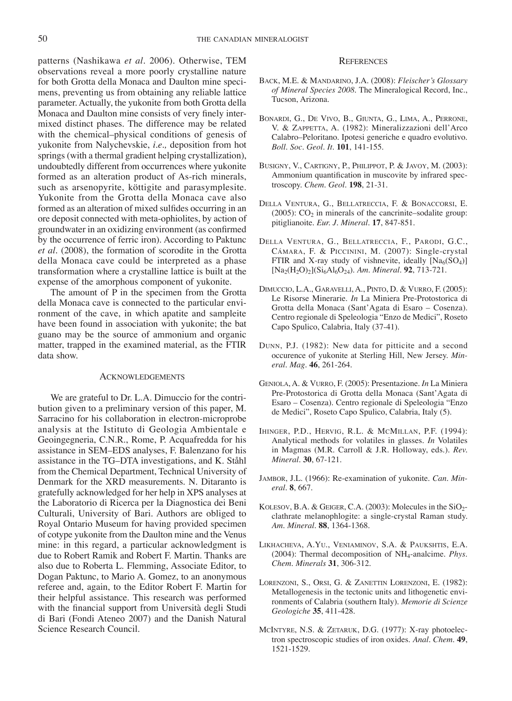patterns (Nashikawa *et al.* 2006). Otherwise, TEM observations reveal a more poorly crystalline nature for both Grotta della Monaca and Daulton mine specimens, preventing us from obtaining any reliable lattice parameter. Actually, the yukonite from both Grotta della Monaca and Daulton mine consists of very finely intermixed distinct phases. The difference may be related with the chemical–physical conditions of genesis of yukonite from Nalychevskie, *i.e.,* deposition from hot springs (with a thermal gradient helping crystallization), undoubtedly different from occurrences where yukonite formed as an alteration product of As-rich minerals, such as arsenopyrite, köttigite and parasymplesite. Yukonite from the Grotta della Monaca cave also formed as an alteration of mixed sulfides occurring in an ore deposit connected with meta-ophiolites, by action of groundwater in an oxidizing environment (as confirmed by the occurrence of ferric iron). According to Paktunc *et al.* (2008), the formation of scorodite in the Grotta della Monaca cave could be interpreted as a phase transformation where a crystalline lattice is built at the expense of the amorphous component of yukonite.

The amount of P in the specimen from the Grotta della Monaca cave is connected to the particular environment of the cave, in which apatite and sampleite have been found in association with yukonite; the bat guano may be the source of ammonium and organic matter, trapped in the examined material, as the FTIR data show.

#### Acknowledgements

We are grateful to Dr. L.A. Dimuccio for the contribution given to a preliminary version of this paper, M. Sarracino for his collaboration in electron-microprobe analysis at the Istituto di Geologia Ambientale e Geoingegneria, C.N.R., Rome, P. Acquafredda for his assistance in SEM–EDS analyses, F. Balenzano for his assistance in the TG–DTA investigations, and K. Ståhl from the Chemical Department, Technical University of Denmark for the XRD measurements. N. Ditaranto is gratefully acknowledged for her help in XPS analyses at the Laboratorio di Ricerca per la Diagnostica dei Beni Culturali, University of Bari. Authors are obliged to Royal Ontario Museum for having provided specimen of cotype yukonite from the Daulton mine and the Venus mine: in this regard, a particular acknowledgment is due to Robert Ramik and Robert F. Martin. Thanks are also due to Roberta L. Flemming, Associate Editor, to Dogan Paktunc, to Mario A. Gomez, to an anonymous referee and, again, to the Editor Robert F. Martin for their helpful assistance. This research was performed with the financial support from Università degli Studi di Bari (Fondi Ateneo 2007) and the Danish Natural Science Research Council.

### **REFERENCES**

- Back, M.E. & Mandarino, J.A. (2008): *Fleischer's Glossary of Mineral Species 2008.* The Mineralogical Record, Inc., Tucson, Arizona.
- Bonardi, G., De Vivo, B., Giunta, G., Lima, A., Perrone, V. & ZAPPETTA, A. (1982): Mineralizzazioni dell'Arco Calabro–Peloritano. Ipotesi generiche e quadro evolutivo. *Boll. Soc. Geol. It.* **101**, 141-155.
- Busigny, V., Cartigny, P., Philippot, P. & Javoy, M. (2003): Ammonium quantification in muscovite by infrared spectroscopy. *Chem. Geol*. **198**, 21-31.
- Della Ventura, G., Bellatreccia, F. & Bonaccorsi, E. (2005):  $CO<sub>2</sub>$  in minerals of the cancrinite–sodalite group: pitiglianoite. *Eur. J. Mineral.* **17**, 847-851.
- Della Ventura, G., Bellatreccia, F., Parodi, G.C., Cámara, F. & Piccinini, M. (2007): Single-crystal FTIR and X-ray study of vishnevite, ideally  $[Na_6(SO_4)]$ [Na2(H2O)2](Si6Al6O24). *Am. Mineral.* **92**, 713-721.
- Dimuccio, L.A., Garavelli, A., Pinto, D. & Vurro, F. (2005): Le Risorse Minerarie. *In* La Miniera Pre-Protostorica di Grotta della Monaca (Sant'Agata di Esaro – Cosenza). Centro regionale di Speleologia "Enzo de Medici", Roseto Capo Spulico, Calabria, Italy (37-41).
- Dunn, P.J. (1982): New data for pitticite and a second occurence of yukonite at Sterling Hill, New Jersey. *Mineral. Mag.* **46**, 261-264.
- Geniola, A. & Vurro, F. (2005): Presentazione. *In* La Miniera Pre-Protostorica di Grotta della Monaca (Sant'Agata di Esaro – Cosenza). Centro regionale di Speleologia "Enzo de Medici", Roseto Capo Spulico, Calabria, Italy (5).
- Ihinger, P.D., Hervig, R.L. & McMillan, P.F. (1994): Analytical methods for volatiles in glasses. *In* Volatiles in Magmas (M.R. Carroll & J.R. Holloway, eds.). *Rev. Mineral.* **30**, 67-121.
- Jambor, J.L. (1966): Re-examination of yukonite. *Can. Mineral.* **8**, 667.
- KOLESOV, B.A. & GEIGER, C.A. (2003): Molecules in the SiO<sub>2</sub>clathrate melanophlogite: a single-crystal Raman study. *Am. Mineral*. **88**, 1364-1368.
- Likhacheva, A.Yu., Veniaminov, S.A. & Paukshtis, E.A. (2004): Thermal decomposition of NH4-analcime. *Phys. Chem. Minerals* **31**, 306-312.
- Lorenzoni, S., Orsi, G. & Zanettin Lorenzoni, E. (1982): Metallogenesis in the tectonic units and lithogenetic environments of Calabria (southern Italy). *Memorie di Scienze Geologiche* **35**, 411-428.
- McIntyre, N.S. & Zetaruk, D.G. (1977): X-ray photoelectron spectroscopic studies of iron oxides. *Anal. Chem.* **49**, 1521-1529.